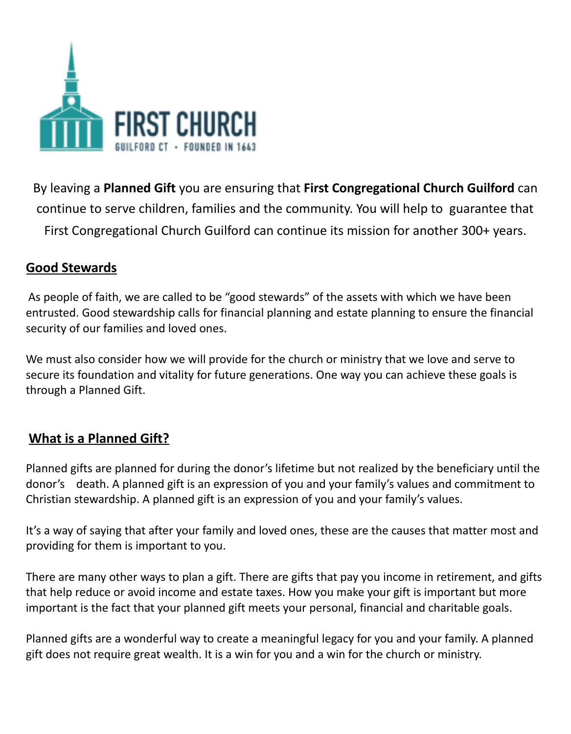

By leaving a **Planned Gift** you are ensuring that **First Congregational Church Guilford** can continue to serve children, families and the community. You will help to guarantee that First Congregational Church Guilford can continue its mission for another 300+ years.

# **Good Stewards**

As people of faith, we are called to be "good stewards" of the assets with which we have been entrusted. Good stewardship calls for financial planning and estate planning to ensure the financial security of our families and loved ones.

We must also consider how we will provide for the church or ministry that we love and serve to secure its foundation and vitality for future generations. One way you can achieve these goals is through a Planned Gift.

# **What is a Planned Gift?**

Planned gifts are planned for during the donor's lifetime but not realized by the beneficiary until the donor's death. A planned gift is an expression of you and your family's values and commitment to Christian stewardship. A planned gift is an expression of you and your family's values.

It's a way of saying that after your family and loved ones, these are the causes that matter most and providing for them is important to you.

There are many other ways to plan a gift. There are gifts that pay you income in retirement, and gifts that help reduce or avoid income and estate taxes. How you make your gift is important but more important is the fact that your planned gift meets your personal, financial and charitable goals.

Planned gifts are a wonderful way to create a meaningful legacy for you and your family. A planned gift does not require great wealth. It is a win for you and a win for the church or ministry.